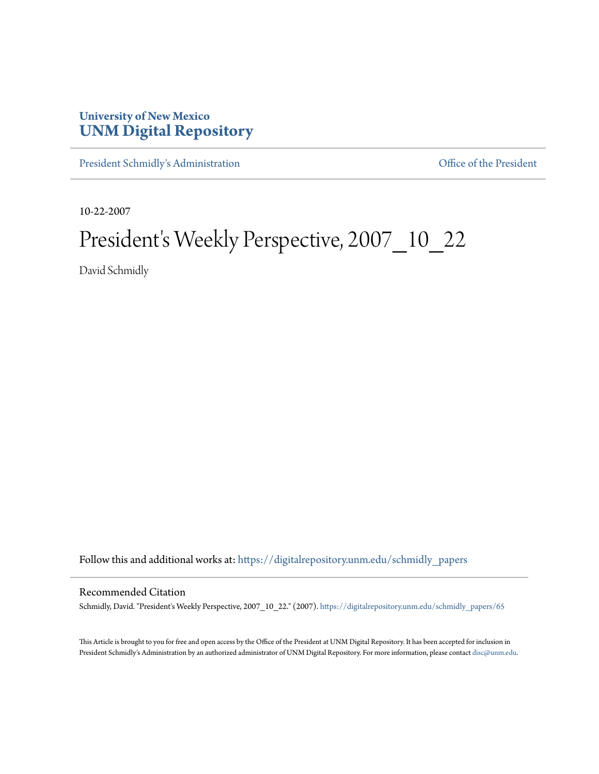## **University of New Mexico [UNM Digital Repository](https://digitalrepository.unm.edu?utm_source=digitalrepository.unm.edu%2Fschmidly_papers%2F65&utm_medium=PDF&utm_campaign=PDFCoverPages)**

[President Schmidly's Administration](https://digitalrepository.unm.edu/schmidly_papers?utm_source=digitalrepository.unm.edu%2Fschmidly_papers%2F65&utm_medium=PDF&utm_campaign=PDFCoverPages) [Office of the President](https://digitalrepository.unm.edu/ofc_president?utm_source=digitalrepository.unm.edu%2Fschmidly_papers%2F65&utm_medium=PDF&utm_campaign=PDFCoverPages)

10-22-2007

## President's Weekly Perspective, 2007\_10\_22

David Schmidly

Follow this and additional works at: [https://digitalrepository.unm.edu/schmidly\\_papers](https://digitalrepository.unm.edu/schmidly_papers?utm_source=digitalrepository.unm.edu%2Fschmidly_papers%2F65&utm_medium=PDF&utm_campaign=PDFCoverPages)

## Recommended Citation

Schmidly, David. "President's Weekly Perspective, 2007\_10\_22." (2007). [https://digitalrepository.unm.edu/schmidly\\_papers/65](https://digitalrepository.unm.edu/schmidly_papers/65?utm_source=digitalrepository.unm.edu%2Fschmidly_papers%2F65&utm_medium=PDF&utm_campaign=PDFCoverPages)

This Article is brought to you for free and open access by the Office of the President at UNM Digital Repository. It has been accepted for inclusion in President Schmidly's Administration by an authorized administrator of UNM Digital Repository. For more information, please contact [disc@unm.edu](mailto:disc@unm.edu).